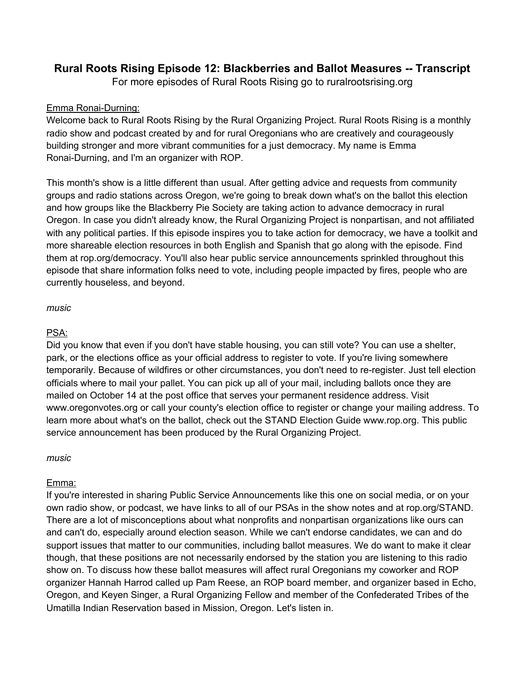# **Rural Roots Rising Episode 12: Blackberries and Ballot Measures -- Transcript**

For more episodes of Rural Roots Rising go to ruralrootsrising.org

#### Emma Ronai-Durning:

Welcome back to Rural Roots Rising by the Rural Organizing Project. Rural Roots Rising is a monthly radio show and podcast created by and for rural Oregonians who are creatively and courageously building stronger and more vibrant communities for a just democracy. My name is Emma Ronai-Durning, and I'm an organizer with ROP.

This month's show is a little different than usual. After getting advice and requests from community groups and radio stations across Oregon, we're going to break down what's on the ballot this election and how groups like the Blackberry Pie Society are taking action to advance democracy in rural Oregon. In case you didn't already know, the Rural Organizing Project is nonpartisan, and not affiliated with any political parties. If this episode inspires you to take action for democracy, we have a toolkit and more shareable election resources in both English and Spanish that go along with the episode. Find them at rop.org/democracy. You'll also hear public service announcements sprinkled throughout this episode that share information folks need to vote, including people impacted by fires, people who are currently houseless, and beyond.

#### *music*

#### PSA:

Did you know that even if you don't have stable housing, you can still vote? You can use a shelter, park, or the elections office as your official address to register to vote. If you're living somewhere temporarily. Because of wildfires or other circumstances, you don't need to re-register. Just tell election officials where to mail your pallet. You can pick up all of your mail, including ballots once they are mailed on October 14 at the post office that serves your permanent residence address. Visit www.oregonvotes.org or call your county's election office to register or change your mailing address. To learn more about what's on the ballot, check out the STAND Election Guide www.rop.org. This public service announcement has been produced by the Rural Organizing Project.

*music*

#### Emma:

If you're interested in sharing Public Service Announcements like this one on social media, or on your own radio show, or podcast, we have links to all of our PSAs in the show notes and at rop.org/STAND. There are a lot of misconceptions about what nonprofits and nonpartisan organizations like ours can and can't do, especially around election season. While we can't endorse candidates, we can and do support issues that matter to our communities, including ballot measures. We do want to make it clear though, that these positions are not necessarily endorsed by the station you are listening to this radio show on. To discuss how these ballot measures will affect rural Oregonians my coworker and ROP organizer Hannah Harrod called up Pam Reese, an ROP board member, and organizer based in Echo, Oregon, and Keyen Singer, a Rural Organizing Fellow and member of the Confederated Tribes of the Umatilla Indian Reservation based in Mission, Oregon. Let's listen in.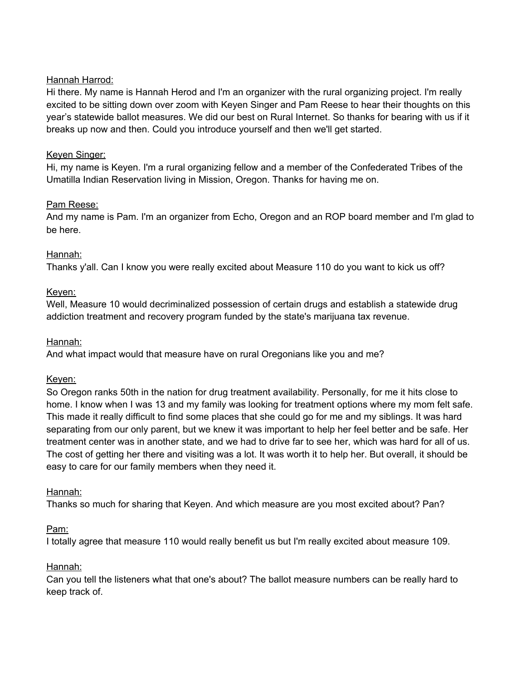# Hannah Harrod:

Hi there. My name is Hannah Herod and I'm an organizer with the rural organizing project. I'm really excited to be sitting down over zoom with Keyen Singer and Pam Reese to hear their thoughts on this year's statewide ballot measures. We did our best on Rural Internet. So thanks for bearing with us if it breaks up now and then. Could you introduce yourself and then we'll get started.

### Keyen Singer:

Hi, my name is Keyen. I'm a rural organizing fellow and a member of the Confederated Tribes of the Umatilla Indian Reservation living in Mission, Oregon. Thanks for having me on.

#### Pam Reese:

And my name is Pam. I'm an organizer from Echo, Oregon and an ROP board member and I'm glad to be here.

# Hannah:

Thanks y'all. Can I know you were really excited about Measure 110 do you want to kick us off?

# Keyen:

Well, Measure 10 would decriminalized possession of certain drugs and establish a statewide drug addiction treatment and recovery program funded by the state's marijuana tax revenue.

# Hannah:

And what impact would that measure have on rural Oregonians like you and me?

# Keyen:

So Oregon ranks 50th in the nation for drug treatment availability. Personally, for me it hits close to home. I know when I was 13 and my family was looking for treatment options where my mom felt safe. This made it really difficult to find some places that she could go for me and my siblings. It was hard separating from our only parent, but we knew it was important to help her feel better and be safe. Her treatment center was in another state, and we had to drive far to see her, which was hard for all of us. The cost of getting her there and visiting was a lot. It was worth it to help her. But overall, it should be easy to care for our family members when they need it.

# Hannah:

Thanks so much for sharing that Keyen. And which measure are you most excited about? Pan?

# Pam:

I totally agree that measure 110 would really benefit us but I'm really excited about measure 109.

# Hannah:

Can you tell the listeners what that one's about? The ballot measure numbers can be really hard to keep track of.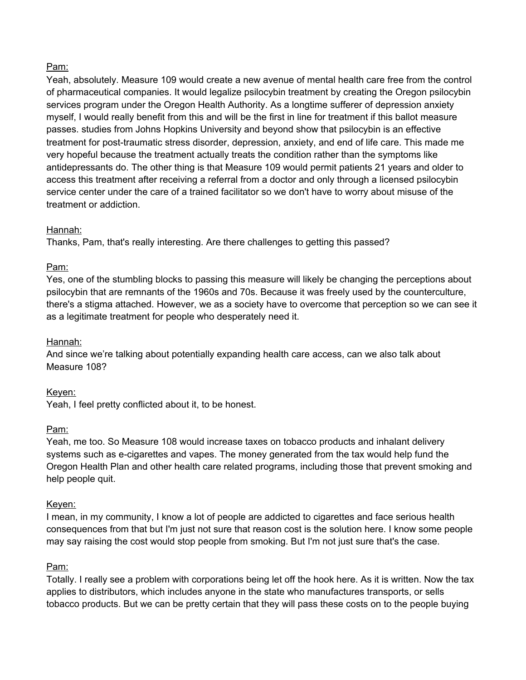# Pam:

Yeah, absolutely. Measure 109 would create a new avenue of mental health care free from the control of pharmaceutical companies. It would legalize psilocybin treatment by creating the Oregon psilocybin services program under the Oregon Health Authority. As a longtime sufferer of depression anxiety myself, I would really benefit from this and will be the first in line for treatment if this ballot measure passes. studies from Johns Hopkins University and beyond show that psilocybin is an effective treatment for post-traumatic stress disorder, depression, anxiety, and end of life care. This made me very hopeful because the treatment actually treats the condition rather than the symptoms like antidepressants do. The other thing is that Measure 109 would permit patients 21 years and older to access this treatment after receiving a referral from a doctor and only through a licensed psilocybin service center under the care of a trained facilitator so we don't have to worry about misuse of the treatment or addiction.

# Hannah:

Thanks, Pam, that's really interesting. Are there challenges to getting this passed?

# Pam:

Yes, one of the stumbling blocks to passing this measure will likely be changing the perceptions about psilocybin that are remnants of the 1960s and 70s. Because it was freely used by the counterculture, there's a stigma attached. However, we as a society have to overcome that perception so we can see it as a legitimate treatment for people who desperately need it.

# Hannah:

And since we're talking about potentially expanding health care access, can we also talk about Measure 108?

# Keyen:

Yeah, I feel pretty conflicted about it, to be honest.

# Pam:

Yeah, me too. So Measure 108 would increase taxes on tobacco products and inhalant delivery systems such as e-cigarettes and vapes. The money generated from the tax would help fund the Oregon Health Plan and other health care related programs, including those that prevent smoking and help people quit.

# Keyen:

I mean, in my community, I know a lot of people are addicted to cigarettes and face serious health consequences from that but I'm just not sure that reason cost is the solution here. I know some people may say raising the cost would stop people from smoking. But I'm not just sure that's the case.

# Pam:

Totally. I really see a problem with corporations being let off the hook here. As it is written. Now the tax applies to distributors, which includes anyone in the state who manufactures transports, or sells tobacco products. But we can be pretty certain that they will pass these costs on to the people buying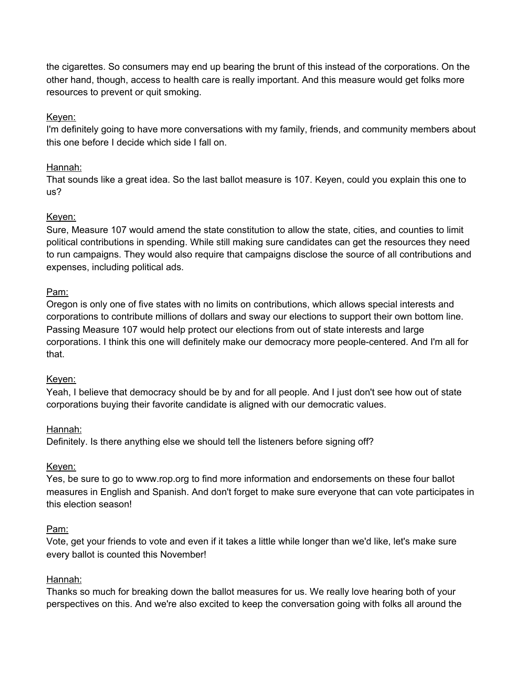the cigarettes. So consumers may end up bearing the brunt of this instead of the corporations. On the other hand, though, access to health care is really important. And this measure would get folks more resources to prevent or quit smoking.

# Keyen:

I'm definitely going to have more conversations with my family, friends, and community members about this one before I decide which side I fall on.

# Hannah:

That sounds like a great idea. So the last ballot measure is 107. Keyen, could you explain this one to us?

# Keyen:

Sure, Measure 107 would amend the state constitution to allow the state, cities, and counties to limit political contributions in spending. While still making sure candidates can get the resources they need to run campaigns. They would also require that campaigns disclose the source of all contributions and expenses, including political ads.

# Pam:

Oregon is only one of five states with no limits on contributions, which allows special interests and corporations to contribute millions of dollars and sway our elections to support their own bottom line. Passing Measure 107 would help protect our elections from out of state interests and large corporations. I think this one will definitely make our democracy more people-centered. And I'm all for that.

# Keyen:

Yeah, I believe that democracy should be by and for all people. And I just don't see how out of state corporations buying their favorite candidate is aligned with our democratic values.

# Hannah:

Definitely. Is there anything else we should tell the listeners before signing off?

# Keyen:

Yes, be sure to go to www.rop.org to find more information and endorsements on these four ballot measures in English and Spanish. And don't forget to make sure everyone that can vote participates in this election season!

# Pam:

Vote, get your friends to vote and even if it takes a little while longer than we'd like, let's make sure every ballot is counted this November!

# Hannah:

Thanks so much for breaking down the ballot measures for us. We really love hearing both of your perspectives on this. And we're also excited to keep the conversation going with folks all around the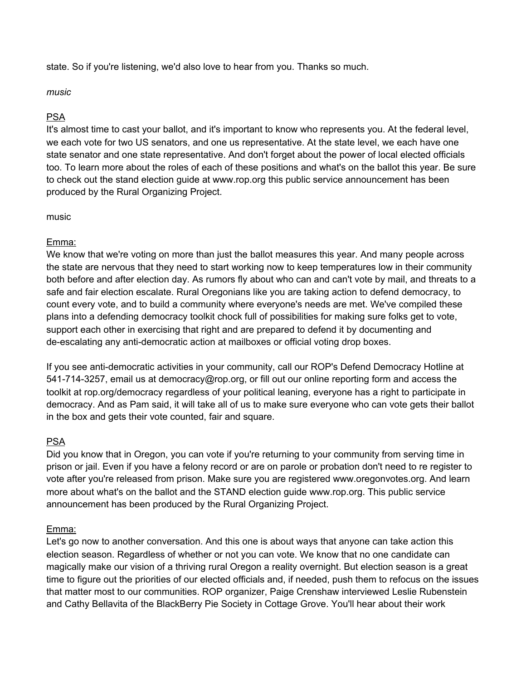state. So if you're listening, we'd also love to hear from you. Thanks so much.

#### *music*

#### PSA

It's almost time to cast your ballot, and it's important to know who represents you. At the federal level, we each vote for two US senators, and one us representative. At the state level, we each have one state senator and one state representative. And don't forget about the power of local elected officials too. To learn more about the roles of each of these positions and what's on the ballot this year. Be sure to check out the stand election guide at www.rop.org this public service announcement has been produced by the Rural Organizing Project.

#### music

#### Emma:

We know that we're voting on more than just the ballot measures this year. And many people across the state are nervous that they need to start working now to keep temperatures low in their community both before and after election day. As rumors fly about who can and can't vote by mail, and threats to a safe and fair election escalate. Rural Oregonians like you are taking action to defend democracy, to count every vote, and to build a community where everyone's needs are met. We've compiled these plans into a defending democracy toolkit chock full of possibilities for making sure folks get to vote, support each other in exercising that right and are prepared to defend it by documenting and de-escalating any anti-democratic action at mailboxes or official voting drop boxes.

If you see anti-democratic activities in your community, call our ROP's Defend Democracy Hotline at 541-714-3257, email us at democracy@rop.org, or fill out our online reporting form and access the toolkit at rop.org/democracy regardless of your political leaning, everyone has a right to participate in democracy. And as Pam said, it will take all of us to make sure everyone who can vote gets their ballot in the box and gets their vote counted, fair and square.

#### PSA

Did you know that in Oregon, you can vote if you're returning to your community from serving time in prison or jail. Even if you have a felony record or are on parole or probation don't need to re register to vote after you're released from prison. Make sure you are registered www.oregonvotes.org. And learn more about what's on the ballot and the STAND election guide www.rop.org. This public service announcement has been produced by the Rural Organizing Project.

#### Emma:

Let's go now to another conversation. And this one is about ways that anyone can take action this election season. Regardless of whether or not you can vote. We know that no one candidate can magically make our vision of a thriving rural Oregon a reality overnight. But election season is a great time to figure out the priorities of our elected officials and, if needed, push them to refocus on the issues that matter most to our communities. ROP organizer, Paige Crenshaw interviewed Leslie Rubenstein and Cathy Bellavita of the BlackBerry Pie Society in Cottage Grove. You'll hear about their work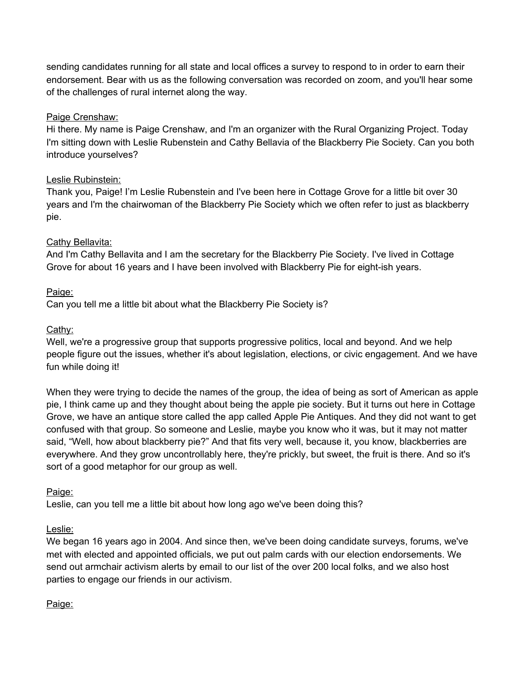sending candidates running for all state and local offices a survey to respond to in order to earn their endorsement. Bear with us as the following conversation was recorded on zoom, and you'll hear some of the challenges of rural internet along the way.

# Paige Crenshaw:

Hi there. My name is Paige Crenshaw, and I'm an organizer with the Rural Organizing Project. Today I'm sitting down with Leslie Rubenstein and Cathy Bellavia of the Blackberry Pie Society. Can you both introduce yourselves?

# Leslie Rubinstein:

Thank you, Paige! I'm Leslie Rubenstein and I've been here in Cottage Grove for a little bit over 30 years and I'm the chairwoman of the Blackberry Pie Society which we often refer to just as blackberry pie.

# Cathy Bellavita:

And I'm Cathy Bellavita and I am the secretary for the Blackberry Pie Society. I've lived in Cottage Grove for about 16 years and I have been involved with Blackberry Pie for eight-ish years.

# Paige:

Can you tell me a little bit about what the Blackberry Pie Society is?

# Cathy:

Well, we're a progressive group that supports progressive politics, local and beyond. And we help people figure out the issues, whether it's about legislation, elections, or civic engagement. And we have fun while doing it!

When they were trying to decide the names of the group, the idea of being as sort of American as apple pie, I think came up and they thought about being the apple pie society. But it turns out here in Cottage Grove, we have an antique store called the app called Apple Pie Antiques. And they did not want to get confused with that group. So someone and Leslie, maybe you know who it was, but it may not matter said, "Well, how about blackberry pie?" And that fits very well, because it, you know, blackberries are everywhere. And they grow uncontrollably here, they're prickly, but sweet, the fruit is there. And so it's sort of a good metaphor for our group as well.

# Paige:

Leslie, can you tell me a little bit about how long ago we've been doing this?

# Leslie:

We began 16 years ago in 2004. And since then, we've been doing candidate surveys, forums, we've met with elected and appointed officials, we put out palm cards with our election endorsements. We send out armchair activism alerts by email to our list of the over 200 local folks, and we also host parties to engage our friends in our activism.

# Paige: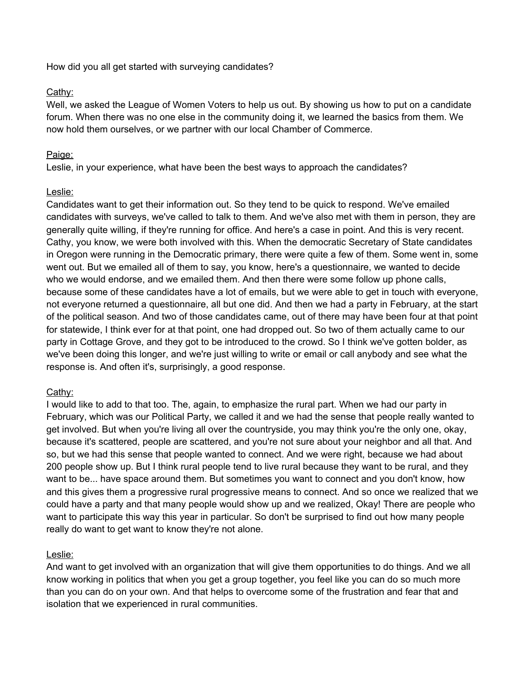How did you all get started with surveying candidates?

# Cathy:

Well, we asked the League of Women Voters to help us out. By showing us how to put on a candidate forum. When there was no one else in the community doing it, we learned the basics from them. We now hold them ourselves, or we partner with our local Chamber of Commerce.

# Paige:

Leslie, in your experience, what have been the best ways to approach the candidates?

# Leslie:

Candidates want to get their information out. So they tend to be quick to respond. We've emailed candidates with surveys, we've called to talk to them. And we've also met with them in person, they are generally quite willing, if they're running for office. And here's a case in point. And this is very recent. Cathy, you know, we were both involved with this. When the democratic Secretary of State candidates in Oregon were running in the Democratic primary, there were quite a few of them. Some went in, some went out. But we emailed all of them to say, you know, here's a questionnaire, we wanted to decide who we would endorse, and we emailed them. And then there were some follow up phone calls, because some of these candidates have a lot of emails, but we were able to get in touch with everyone, not everyone returned a questionnaire, all but one did. And then we had a party in February, at the start of the political season. And two of those candidates came, out of there may have been four at that point for statewide, I think ever for at that point, one had dropped out. So two of them actually came to our party in Cottage Grove, and they got to be introduced to the crowd. So I think we've gotten bolder, as we've been doing this longer, and we're just willing to write or email or call anybody and see what the response is. And often it's, surprisingly, a good response.

# Cathy:

I would like to add to that too. The, again, to emphasize the rural part. When we had our party in February, which was our Political Party, we called it and we had the sense that people really wanted to get involved. But when you're living all over the countryside, you may think you're the only one, okay, because it's scattered, people are scattered, and you're not sure about your neighbor and all that. And so, but we had this sense that people wanted to connect. And we were right, because we had about 200 people show up. But I think rural people tend to live rural because they want to be rural, and they want to be... have space around them. But sometimes you want to connect and you don't know, how and this gives them a progressive rural progressive means to connect. And so once we realized that we could have a party and that many people would show up and we realized, Okay! There are people who want to participate this way this year in particular. So don't be surprised to find out how many people really do want to get want to know they're not alone.

# Leslie:

And want to get involved with an organization that will give them opportunities to do things. And we all know working in politics that when you get a group together, you feel like you can do so much more than you can do on your own. And that helps to overcome some of the frustration and fear that and isolation that we experienced in rural communities.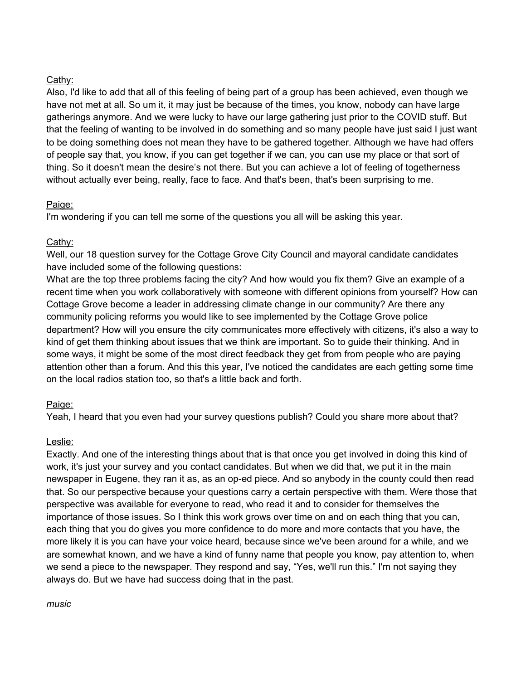# Cathy:

Also, I'd like to add that all of this feeling of being part of a group has been achieved, even though we have not met at all. So um it, it may just be because of the times, you know, nobody can have large gatherings anymore. And we were lucky to have our large gathering just prior to the COVID stuff. But that the feeling of wanting to be involved in do something and so many people have just said I just want to be doing something does not mean they have to be gathered together. Although we have had offers of people say that, you know, if you can get together if we can, you can use my place or that sort of thing. So it doesn't mean the desire's not there. But you can achieve a lot of feeling of togetherness without actually ever being, really, face to face. And that's been, that's been surprising to me.

# Paige:

I'm wondering if you can tell me some of the questions you all will be asking this year.

# Cathy:

Well, our 18 question survey for the Cottage Grove City Council and mayoral candidate candidates have included some of the following questions:

What are the top three problems facing the city? And how would you fix them? Give an example of a recent time when you work collaboratively with someone with different opinions from yourself? How can Cottage Grove become a leader in addressing climate change in our community? Are there any community policing reforms you would like to see implemented by the Cottage Grove police department? How will you ensure the city communicates more effectively with citizens, it's also a way to kind of get them thinking about issues that we think are important. So to guide their thinking. And in some ways, it might be some of the most direct feedback they get from from people who are paying attention other than a forum. And this this year, I've noticed the candidates are each getting some time on the local radios station too, so that's a little back and forth.

# Paige:

Yeah, I heard that you even had your survey questions publish? Could you share more about that?

# Leslie:

Exactly. And one of the interesting things about that is that once you get involved in doing this kind of work, it's just your survey and you contact candidates. But when we did that, we put it in the main newspaper in Eugene, they ran it as, as an op-ed piece. And so anybody in the county could then read that. So our perspective because your questions carry a certain perspective with them. Were those that perspective was available for everyone to read, who read it and to consider for themselves the importance of those issues. So I think this work grows over time on and on each thing that you can, each thing that you do gives you more confidence to do more and more contacts that you have, the more likely it is you can have your voice heard, because since we've been around for a while, and we are somewhat known, and we have a kind of funny name that people you know, pay attention to, when we send a piece to the newspaper. They respond and say, "Yes, we'll run this." I'm not saying they always do. But we have had success doing that in the past.

*music*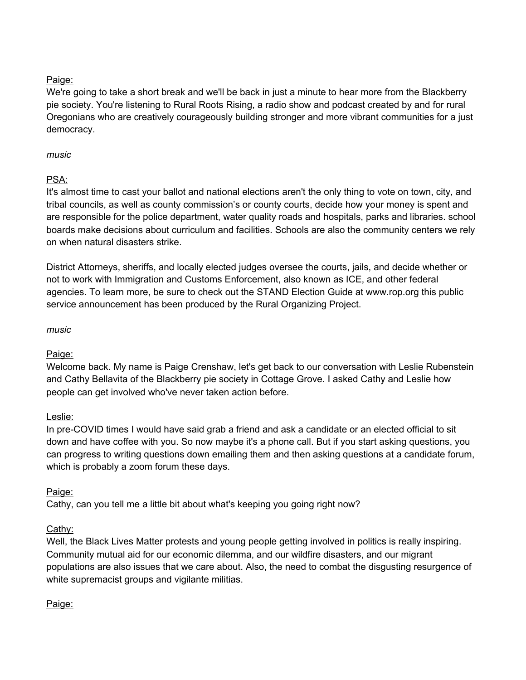# Paige:

We're going to take a short break and we'll be back in just a minute to hear more from the Blackberry pie society. You're listening to Rural Roots Rising, a radio show and podcast created by and for rural Oregonians who are creatively courageously building stronger and more vibrant communities for a just democracy.

# *music*

# PSA:

It's almost time to cast your ballot and national elections aren't the only thing to vote on town, city, and tribal councils, as well as county commission's or county courts, decide how your money is spent and are responsible for the police department, water quality roads and hospitals, parks and libraries. school boards make decisions about curriculum and facilities. Schools are also the community centers we rely on when natural disasters strike.

District Attorneys, sheriffs, and locally elected judges oversee the courts, jails, and decide whether or not to work with Immigration and Customs Enforcement, also known as ICE, and other federal agencies. To learn more, be sure to check out the STAND Election Guide at www.rop.org this public service announcement has been produced by the Rural Organizing Project.

#### *music*

# Paige:

Welcome back. My name is Paige Crenshaw, let's get back to our conversation with Leslie Rubenstein and Cathy Bellavita of the Blackberry pie society in Cottage Grove. I asked Cathy and Leslie how people can get involved who've never taken action before.

# Leslie:

In pre-COVID times I would have said grab a friend and ask a candidate or an elected official to sit down and have coffee with you. So now maybe it's a phone call. But if you start asking questions, you can progress to writing questions down emailing them and then asking questions at a candidate forum, which is probably a zoom forum these days.

# Paige:

Cathy, can you tell me a little bit about what's keeping you going right now?

# Cathy:

Well, the Black Lives Matter protests and young people getting involved in politics is really inspiring. Community mutual aid for our economic dilemma, and our wildfire disasters, and our migrant populations are also issues that we care about. Also, the need to combat the disgusting resurgence of white supremacist groups and vigilante militias.

# Paige: